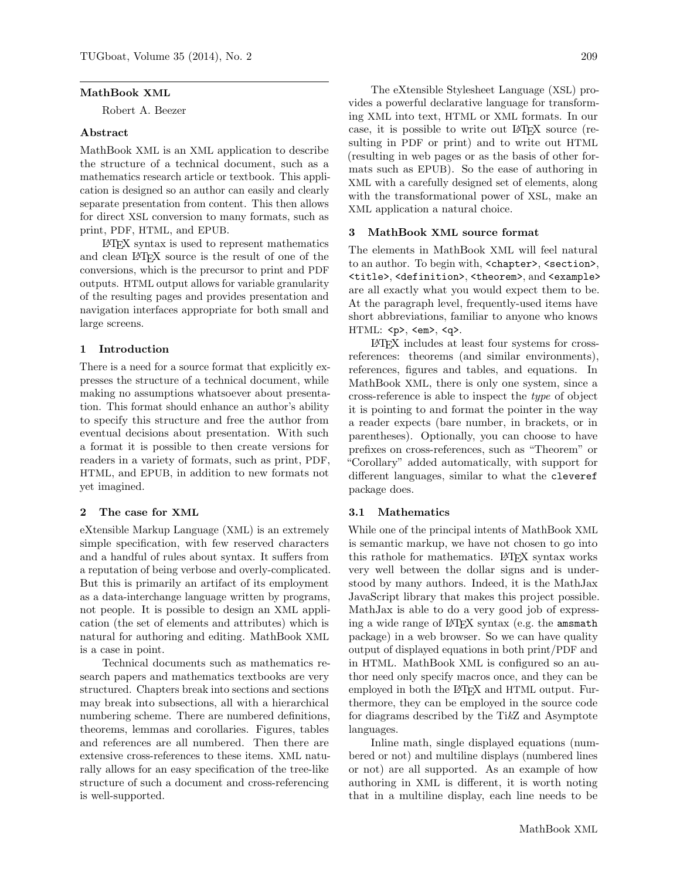#### MathBook XML

Robert A. Beezer

### Abstract

MathBook XML is an XML application to describe the structure of a technical document, such as a mathematics research article or textbook. This application is designed so an author can easily and clearly separate presentation from content. This then allows for direct XSL conversion to many formats, such as print, PDF, HTML, and EPUB.

LATEX syntax is used to represent mathematics and clean LATEX source is the result of one of the conversions, which is the precursor to print and PDF outputs. HTML output allows for variable granularity of the resulting pages and provides presentation and navigation interfaces appropriate for both small and large screens.

# 1 Introduction

There is a need for a source format that explicitly expresses the structure of a technical document, while making no assumptions whatsoever about presentation. This format should enhance an author's ability to specify this structure and free the author from eventual decisions about presentation. With such a format it is possible to then create versions for readers in a variety of formats, such as print, PDF, HTML, and EPUB, in addition to new formats not yet imagined.

#### 2 The case for XML

eXtensible Markup Language (XML) is an extremely simple specification, with few reserved characters and a handful of rules about syntax. It suffers from a reputation of being verbose and overly-complicated. But this is primarily an artifact of its employment as a data-interchange language written by programs, not people. It is possible to design an XML application (the set of elements and attributes) which is natural for authoring and editing. MathBook XML is a case in point.

Technical documents such as mathematics research papers and mathematics textbooks are very structured. Chapters break into sections and sections may break into subsections, all with a hierarchical numbering scheme. There are numbered definitions, theorems, lemmas and corollaries. Figures, tables and references are all numbered. Then there are extensive cross-references to these items. XML naturally allows for an easy specification of the tree-like structure of such a document and cross-referencing is well-supported.

The eXtensible Stylesheet Language (XSL) provides a powerful declarative language for transforming XML into text, HTML or XML formats. In our case, it is possible to write out LATEX source (resulting in PDF or print) and to write out HTML (resulting in web pages or as the basis of other formats such as EPUB). So the ease of authoring in XML with a carefully designed set of elements, along with the transformational power of XSL, make an XML application a natural choice.

### 3 MathBook XML source format

The elements in MathBook XML will feel natural to an author. To begin with, <chapter>, <section>, <title>, <definition>, <theorem>, and <example> are all exactly what you would expect them to be. At the paragraph level, frequently-used items have short abbreviations, familiar to anyone who knows HTML: <p>, <em>, <q>.

LATEX includes at least four systems for crossreferences: theorems (and similar environments), references, figures and tables, and equations. In MathBook XML, there is only one system, since a cross-reference is able to inspect the type of object it is pointing to and format the pointer in the way a reader expects (bare number, in brackets, or in parentheses). Optionally, you can choose to have prefixes on cross-references, such as "Theorem" or "Corollary" added automatically, with support for different languages, similar to what the cleveref package does.

### 3.1 Mathematics

While one of the principal intents of MathBook XML is semantic markup, we have not chosen to go into this rathole for mathematics. LAT<sub>F</sub>X syntax works very well between the dollar signs and is understood by many authors. Indeed, it is the MathJax JavaScript library that makes this project possible. MathJax is able to do a very good job of expressing a wide range of LATEX syntax (e.g. the amsmath package) in a web browser. So we can have quality output of displayed equations in both print/PDF and in HTML. MathBook XML is configured so an author need only specify macros once, and they can be employed in both the L<sup>AT</sup>FX and HTML output. Furthermore, they can be employed in the source code for diagrams described by the TikZ and Asymptote languages.

Inline math, single displayed equations (numbered or not) and multiline displays (numbered lines or not) are all supported. As an example of how authoring in XML is different, it is worth noting that in a multiline display, each line needs to be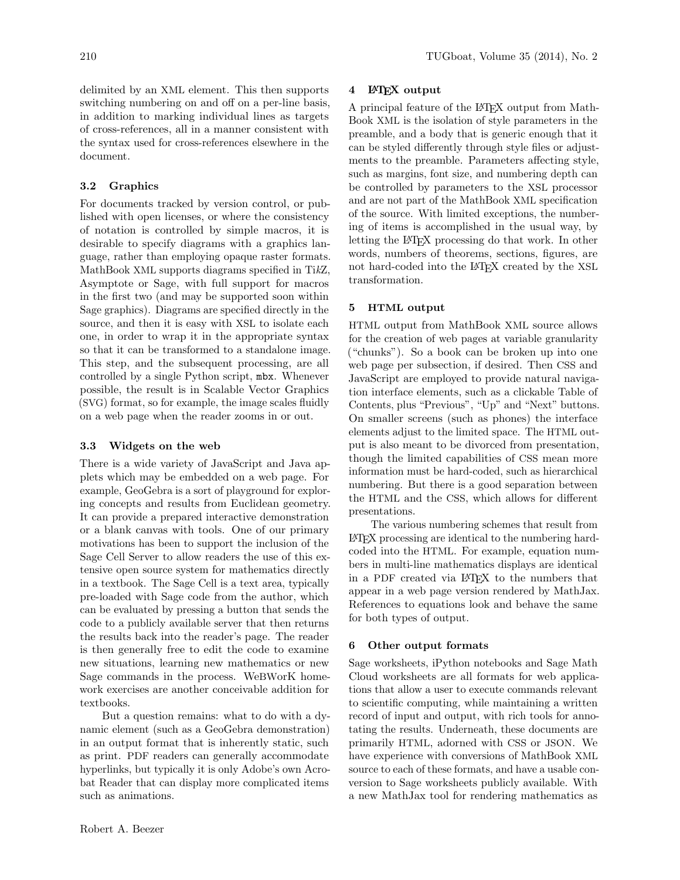delimited by an XML element. This then supports switching numbering on and off on a per-line basis, in addition to marking individual lines as targets of cross-references, all in a manner consistent with the syntax used for cross-references elsewhere in the document.

# 3.2 Graphics

For documents tracked by version control, or published with open licenses, or where the consistency of notation is controlled by simple macros, it is desirable to specify diagrams with a graphics language, rather than employing opaque raster formats. MathBook XML supports diagrams specified in TikZ, Asymptote or Sage, with full support for macros in the first two (and may be supported soon within Sage graphics). Diagrams are specified directly in the source, and then it is easy with XSL to isolate each one, in order to wrap it in the appropriate syntax so that it can be transformed to a standalone image. This step, and the subsequent processing, are all controlled by a single Python script, mbx. Whenever possible, the result is in Scalable Vector Graphics (SVG) format, so for example, the image scales fluidly on a web page when the reader zooms in or out.

# 3.3 Widgets on the web

There is a wide variety of JavaScript and Java applets which may be embedded on a web page. For example, GeoGebra is a sort of playground for exploring concepts and results from Euclidean geometry. It can provide a prepared interactive demonstration or a blank canvas with tools. One of our primary motivations has been to support the inclusion of the Sage Cell Server to allow readers the use of this extensive open source system for mathematics directly in a textbook. The Sage Cell is a text area, typically pre-loaded with Sage code from the author, which can be evaluated by pressing a button that sends the code to a publicly available server that then returns the results back into the reader's page. The reader is then generally free to edit the code to examine new situations, learning new mathematics or new Sage commands in the process. WeBWorK homework exercises are another conceivable addition for textbooks.

But a question remains: what to do with a dynamic element (such as a GeoGebra demonstration) in an output format that is inherently static, such as print. PDF readers can generally accommodate hyperlinks, but typically it is only Adobe's own Acrobat Reader that can display more complicated items such as animations.

### 4 **LATEX** output

A principal feature of the L<sup>AT</sup>FX output from Math-Book XML is the isolation of style parameters in the preamble, and a body that is generic enough that it can be styled differently through style files or adjustments to the preamble. Parameters affecting style, such as margins, font size, and numbering depth can be controlled by parameters to the XSL processor and are not part of the MathBook XML specification of the source. With limited exceptions, the numbering of items is accomplished in the usual way, by letting the LAT<sub>EX</sub> processing do that work. In other words, numbers of theorems, sections, figures, are not hard-coded into the LAT<sub>EX</sub> created by the XSL transformation.

#### 5 HTML output

HTML output from MathBook XML source allows for the creation of web pages at variable granularity ("chunks"). So a book can be broken up into one web page per subsection, if desired. Then CSS and JavaScript are employed to provide natural navigation interface elements, such as a clickable Table of Contents, plus "Previous", "Up" and "Next" buttons. On smaller screens (such as phones) the interface elements adjust to the limited space. The HTML output is also meant to be divorced from presentation, though the limited capabilities of CSS mean more information must be hard-coded, such as hierarchical numbering. But there is a good separation between the HTML and the CSS, which allows for different presentations.

The various numbering schemes that result from LATEX processing are identical to the numbering hardcoded into the HTML. For example, equation numbers in multi-line mathematics displays are identical in a PDF created via LATEX to the numbers that appear in a web page version rendered by MathJax. References to equations look and behave the same for both types of output.

#### 6 Other output formats

Sage worksheets, iPython notebooks and Sage Math Cloud worksheets are all formats for web applications that allow a user to execute commands relevant to scientific computing, while maintaining a written record of input and output, with rich tools for annotating the results. Underneath, these documents are primarily HTML, adorned with CSS or JSON. We have experience with conversions of MathBook XML source to each of these formats, and have a usable conversion to Sage worksheets publicly available. With a new MathJax tool for rendering mathematics as